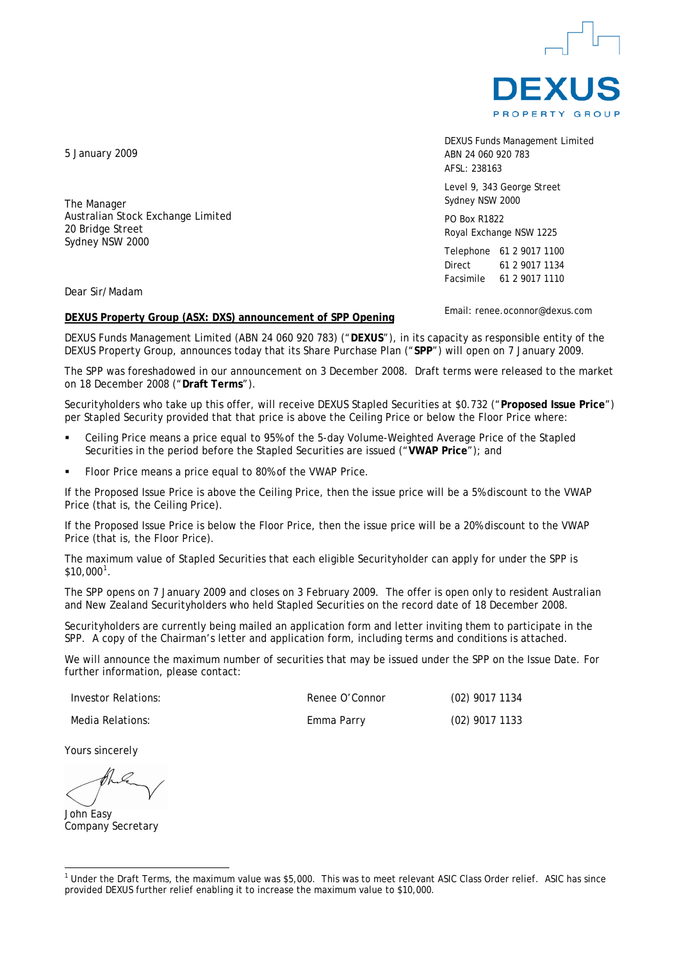

DEXUS Funds Management Limited ABN 24 060 920 783 AFSL: 238163

Level 9, 343 George Street Sydney NSW 2000

PO Box R1822 Royal Exchange NSW 1225

Telephone 61 2 9017 1100 Direct 61 2 9017 1134 Facsimile 61 2 9017 1110

Email: renee.oconnor@dexus.com

Dear Sir/Madam

#### **DEXUS Property Group (ASX: DXS) announcement of SPP Opening**

DEXUS Funds Management Limited (ABN 24 060 920 783) ("**DEXUS**"), in its capacity as responsible entity of the DEXUS Property Group, announces today that its Share Purchase Plan ("**SPP**") will open on 7 January 2009.

The SPP was foreshadowed in our announcement on 3 December 2008. Draft terms were released to the market on 18 December 2008 ("**Draft Terms**").

Securityholders who take up this offer, will receive DEXUS Stapled Securities at \$0.732 ("**Proposed Issue Price**") per Stapled Security provided that that price is above the Ceiling Price or below the Floor Price where:

- Ceiling Price means a price equal to 95% of the 5-day Volume-Weighted Average Price of the Stapled Securities in the period before the Stapled Securities are issued ("**VWAP Price**"); and
- Floor Price means a price equal to 80% of the VWAP Price.

If the Proposed Issue Price is above the Ceiling Price, then the issue price will be a 5% discount to the VWAP Price (that is, the Ceiling Price).

If the Proposed Issue Price is below the Floor Price, then the issue price will be a 20% discount to the VWAP Price (that is, the Floor Price).

The maximum value of Stapled Securities that each eligible Securityholder can apply for under the SPP is  $$10,000^1$  $$10,000^1$  $$10,000^1$  .

The SPP opens on 7 January 2009 and closes on 3 February 2009. The offer is open only to resident Australian and New Zealand Securityholders who held Stapled Securities on the record date of 18 December 2008.

Securityholders are currently being mailed an application form and letter inviting them to participate in the SPP. A copy of the Chairman's letter and application form, including terms and conditions is attached.

We will announce the maximum number of securities that may be issued under the SPP on the Issue Date. For further information, please contact:

Investor Relations: Renee O'Connor (02) 9017 1134

Media Relations: Emma Parry (02) 9017 1133

Yours sincerely

John Easy Company Secretary

 $\overline{a}$ 

Australian Stock Exchange Limited

5 January 2009

The Manager

20 Bridge Street Sydney NSW 2000

<span id="page-0-0"></span><sup>&</sup>lt;sup>1</sup> Under the Draft Terms, the maximum value was \$5,000. This was to meet relevant ASIC Class Order relief. ASIC has since provided DEXUS further relief enabling it to increase the maximum value to \$10,000.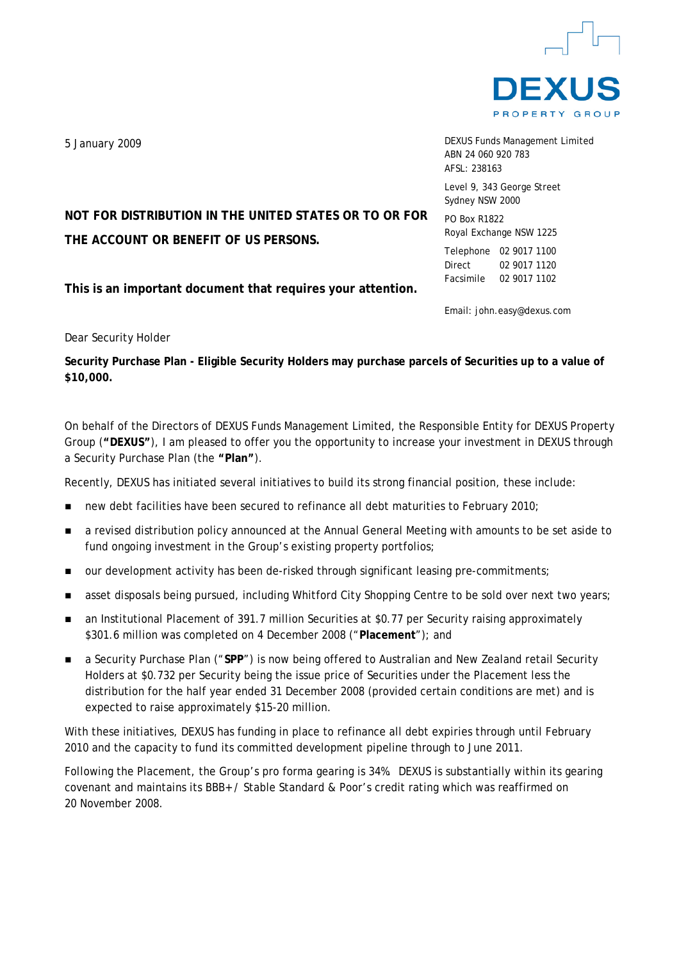

DEXUS Funds Management Limited ABN 24 060 920 783 AFSL: 238163

Level 9, 343 George Street Sydney NSW 2000

PO Box R1822 Royal Exchange NSW 1225

Telephone 02 9017 1100 Direct 02 9017 1120 Facsimile 02 9017 1102

Email: john.easy@dexus.com

**NOT FOR DISTRIBUTION IN THE UNITED STATES OR TO OR FOR THE ACCOUNT OR BENEFIT OF US PERSONS.** 

**This is an important document that requires your attention.** 

Dear Security Holder

**Security Purchase Plan - Eligible Security Holders may purchase parcels of Securities up to a value of \$10,000.** 

On behalf of the Directors of DEXUS Funds Management Limited, the Responsible Entity for DEXUS Property Group (**"DEXUS"**), I am pleased to offer you the opportunity to increase your investment in DEXUS through a Security Purchase Plan (the **"Plan"**).

Recently, DEXUS has initiated several initiatives to build its strong financial position, these include:

- new debt facilities have been secured to refinance all debt maturities to February 2010;
- a revised distribution policy announced at the Annual General Meeting with amounts to be set aside to fund ongoing investment in the Group's existing property portfolios;
- our development activity has been de-risked through significant leasing pre-commitments;
- **a** asset disposals being pursued, including Whitford City Shopping Centre to be sold over next two years;
- an Institutional Placement of 391.7 million Securities at \$0.77 per Security raising approximately \$301.6 million was completed on 4 December 2008 ("**Placement**"); and
- a Security Purchase Plan ("**SPP**") is now being offered to Australian and New Zealand retail Security Holders at \$0.732 per Security being the issue price of Securities under the Placement less the distribution for the half year ended 31 December 2008 (provided certain conditions are met) and is expected to raise approximately \$15-20 million.

With these initiatives, DEXUS has funding in place to refinance all debt expiries through until February 2010 and the capacity to fund its committed development pipeline through to June 2011.

Following the Placement, the Group's pro forma gearing is 34%. DEXUS is substantially within its gearing covenant and maintains its BBB+ / Stable Standard & Poor's credit rating which was reaffirmed on 20 November 2008.

5 January 2009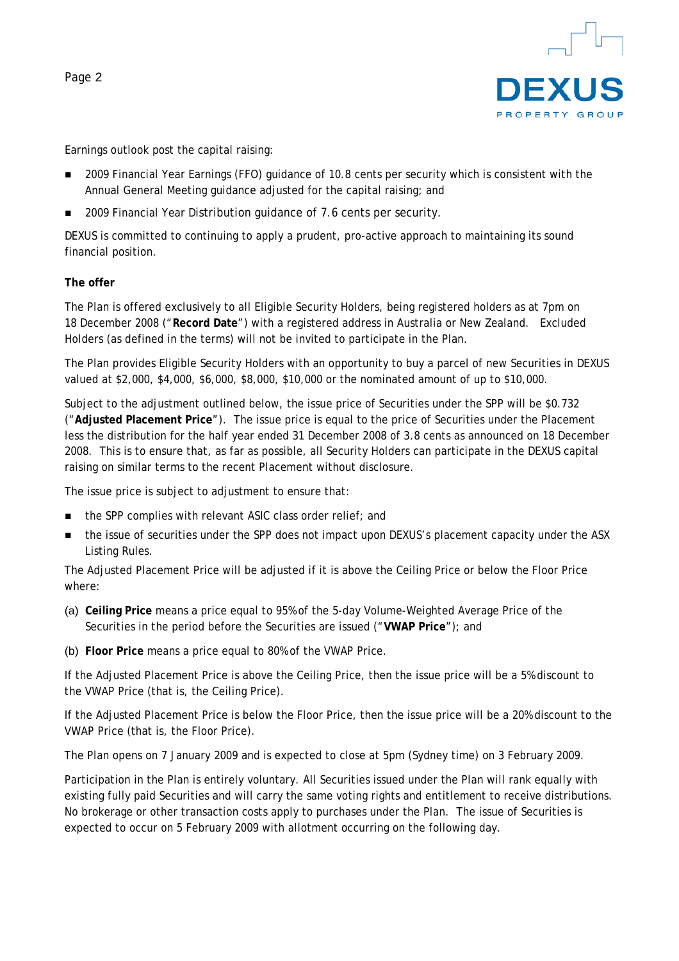

Earnings outlook post the capital raising:

- 2009 Financial Year Earnings (FFO) quidance of 10.8 cents per security which is consistent with the Annual General Meeting guidance adjusted for the capital raising; and
- 2009 Financial Year Distribution guidance of 7.6 cents per security.

DEXUS is committed to continuing to apply a prudent, pro-active approach to maintaining its sound financial position.

#### **The offer**

The Plan is offered exclusively to all Eligible Security Holders, being registered holders as at 7pm on 18 December 2008 ("**Record Date**") with a registered address in Australia or New Zealand. Excluded Holders (as defined in the terms) will not be invited to participate in the Plan.

The Plan provides Eligible Security Holders with an opportunity to buy a parcel of new Securities in DEXUS valued at \$2,000, \$4,000, \$6,000, \$8,000, \$10,000 or the nominated amount of up to \$10,000.

Subject to the adjustment outlined below, the issue price of Securities under the SPP will be \$0.732 ("**Adjusted Placement Price**"). The issue price is equal to the price of Securities under the Placement less the distribution for the half year ended 31 December 2008 of 3.8 cents as announced on 18 December 2008. This is to ensure that, as far as possible, all Security Holders can participate in the DEXUS capital raising on similar terms to the recent Placement without disclosure.

The issue price is subject to adjustment to ensure that:

- the SPP complies with relevant ASIC class order relief; and
- **the issue of securities under the SPP does not impact upon DEXUS's placement capacity under the ASX** Listing Rules.

The Adjusted Placement Price will be adjusted if it is above the Ceiling Price or below the Floor Price where:

- (a) **Ceiling Price** means a price equal to 95% of the 5-day Volume-Weighted Average Price of the Securities in the period before the Securities are issued ("**VWAP Price**"); and
- (b) **Floor Price** means a price equal to 80% of the VWAP Price.

If the Adjusted Placement Price is above the Ceiling Price, then the issue price will be a 5% discount to the VWAP Price (that is, the Ceiling Price).

If the Adjusted Placement Price is below the Floor Price, then the issue price will be a 20% discount to the VWAP Price (that is, the Floor Price).

The Plan opens on 7 January 2009 and is expected to close at 5pm (Sydney time) on 3 February 2009.

Participation in the Plan is entirely voluntary. All Securities issued under the Plan will rank equally with existing fully paid Securities and will carry the same voting rights and entitlement to receive distributions. No brokerage or other transaction costs apply to purchases under the Plan. The issue of Securities is expected to occur on 5 February 2009 with allotment occurring on the following day.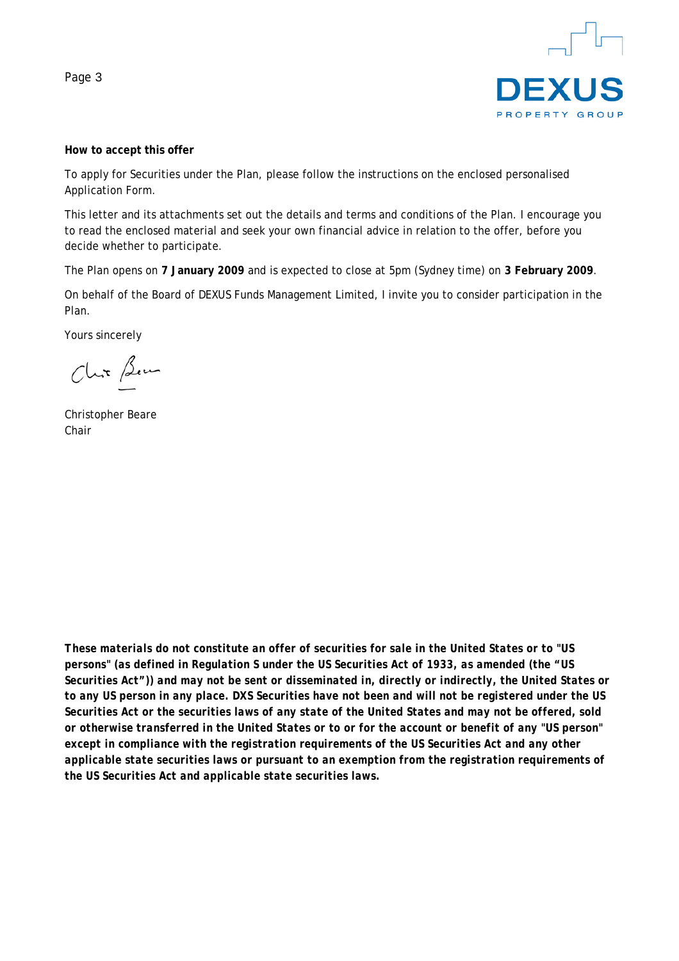

#### **How to accept this offer**

To apply for Securities under the Plan, please follow the instructions on the enclosed personalised Application Form.

This letter and its attachments set out the details and terms and conditions of the Plan. I encourage you to read the enclosed material and seek your own financial advice in relation to the offer, before you decide whether to participate.

The Plan opens on **7 January 2009** and is expected to close at 5pm (Sydney time) on **3 February 2009**.

On behalf of the Board of DEXUS Funds Management Limited, I invite you to consider participation in the Plan.

Yours sincerely

Chix Bem

Christopher Beare Chair

*These materials do not constitute an offer of securities for sale in the United States or to "US persons" (as defined in Regulation S under the US Securities Act of 1933, as amended (the "US Securities Act")) and may not be sent or disseminated in, directly or indirectly, the United States or to any US person in any place. DXS Securities have not been and will not be registered under the US Securities Act or the securities laws of any state of the United States and may not be offered, sold or otherwise transferred in the United States or to or for the account or benefit of any "US person" except in compliance with the registration requirements of the US Securities Act and any other applicable state securities laws or pursuant to an exemption from the registration requirements of the US Securities Act and applicable state securities laws.*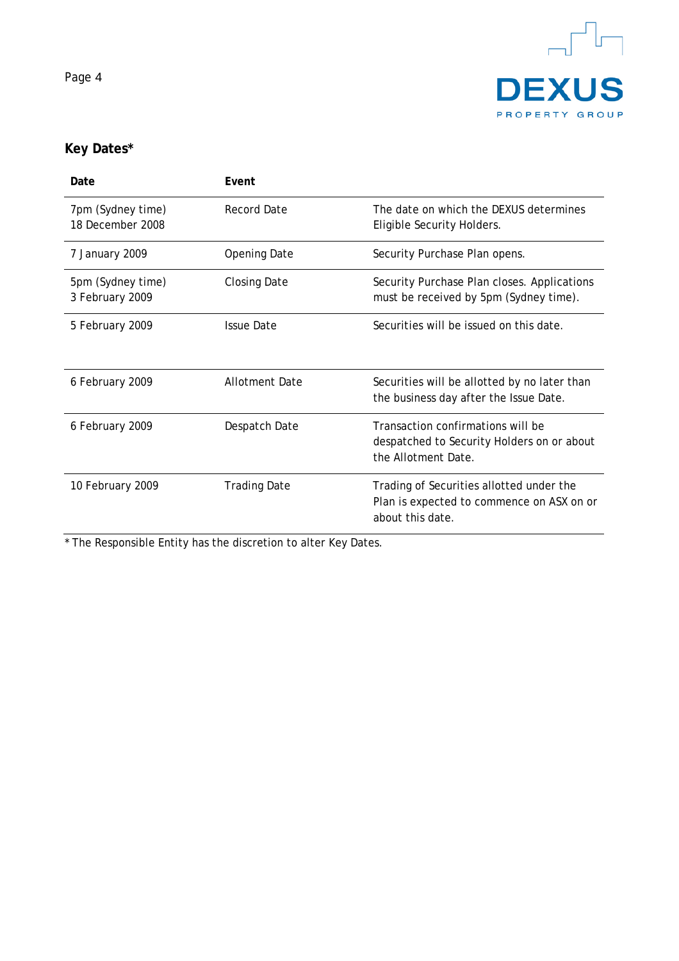



# **Key Dates\***

| Date                                  | Event                 |                                                                                                           |
|---------------------------------------|-----------------------|-----------------------------------------------------------------------------------------------------------|
| 7pm (Sydney time)<br>18 December 2008 | Record Date           | The date on which the DFXUS determines<br>Eligible Security Holders.                                      |
| 7 January 2009                        | <b>Opening Date</b>   | Security Purchase Plan opens.                                                                             |
| 5pm (Sydney time)<br>3 February 2009  | <b>Closing Date</b>   | Security Purchase Plan closes. Applications<br>must be received by 5pm (Sydney time).                     |
| 5 February 2009                       | <b>Issue Date</b>     | Securities will be issued on this date.                                                                   |
| 6 February 2009                       | <b>Allotment Date</b> | Securities will be allotted by no later than<br>the business day after the Issue Date.                    |
| 6 February 2009                       | Despatch Date         | Transaction confirmations will be<br>despatched to Security Holders on or about<br>the Allotment Date.    |
| 10 February 2009                      | <b>Trading Date</b>   | Trading of Securities allotted under the<br>Plan is expected to commence on ASX on or<br>about this date. |

\* The Responsible Entity has the discretion to alter Key Dates.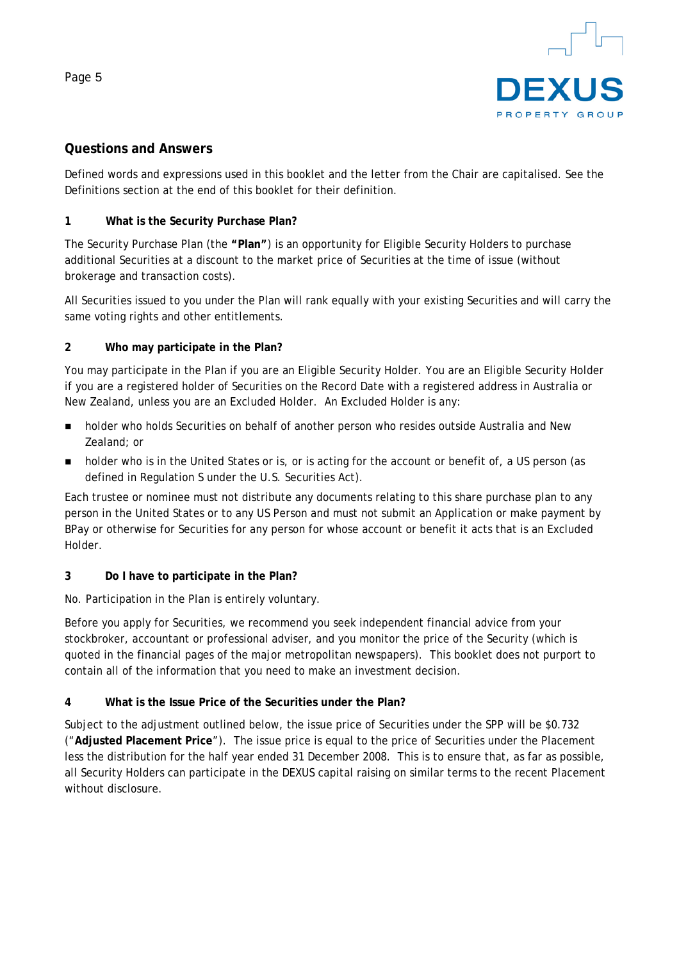

# **Questions and Answers**

Defined words and expressions used in this booklet and the letter from the Chair are capitalised. See the Definitions section at the end of this booklet for their definition.

#### **1 What is the Security Purchase Plan?**

The Security Purchase Plan (the **"Plan"**) is an opportunity for Eligible Security Holders to purchase additional Securities at a discount to the market price of Securities at the time of issue (without brokerage and transaction costs).

All Securities issued to you under the Plan will rank equally with your existing Securities and will carry the same voting rights and other entitlements.

# **2 Who may participate in the Plan?**

You may participate in the Plan if you are an Eligible Security Holder. You are an Eligible Security Holder if you are a registered holder of Securities on the Record Date with a registered address in Australia or New Zealand, unless you are an Excluded Holder. An Excluded Holder is any:

- **holder who holds Securities on behalf of another person who resides outside Australia and New** Zealand; or
- holder who is in the United States or is, or is acting for the account or benefit of, a US person (as defined in Regulation S under the U.S. Securities Act).

Each trustee or nominee must not distribute any documents relating to this share purchase plan to any person in the United States or to any US Person and must not submit an Application or make payment by BPay or otherwise for Securities for any person for whose account or benefit it acts that is an Excluded Holder.

# **3 Do I have to participate in the Plan?**

No. Participation in the Plan is entirely voluntary.

Before you apply for Securities, we recommend you seek independent financial advice from your stockbroker, accountant or professional adviser, and you monitor the price of the Security (which is quoted in the financial pages of the major metropolitan newspapers). This booklet does not purport to contain all of the information that you need to make an investment decision.

# **4 What is the Issue Price of the Securities under the Plan?**

Subject to the adjustment outlined below, the issue price of Securities under the SPP will be \$0.732 ("**Adjusted Placement Price**"). The issue price is equal to the price of Securities under the Placement less the distribution for the half year ended 31 December 2008. This is to ensure that, as far as possible, all Security Holders can participate in the DEXUS capital raising on similar terms to the recent Placement without disclosure.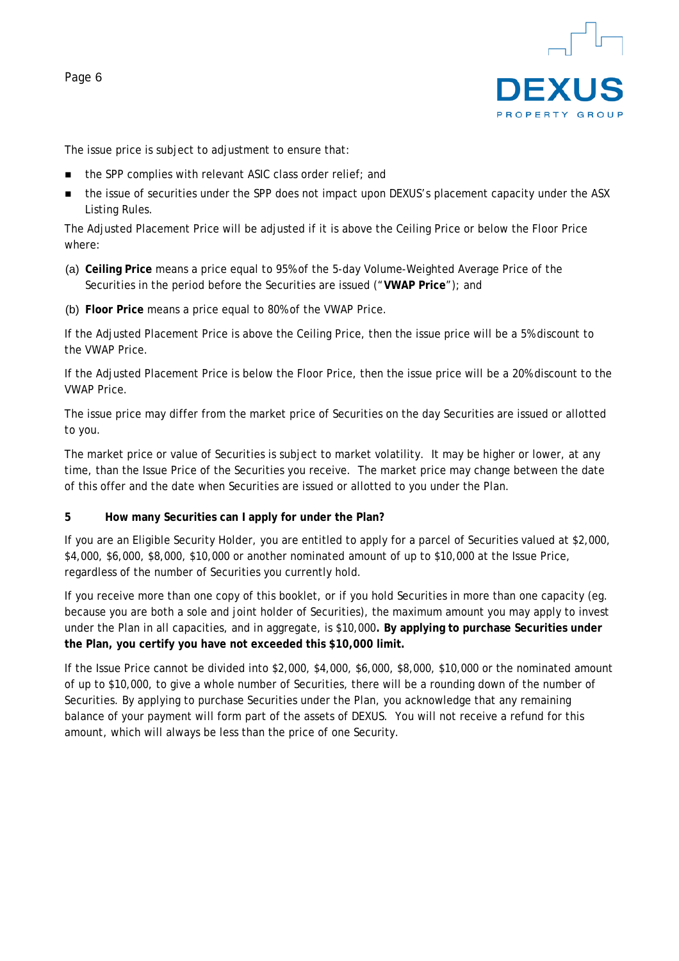

The issue price is subject to adjustment to ensure that:

- the SPP complies with relevant ASIC class order relief; and
- the issue of securities under the SPP does not impact upon DEXUS's placement capacity under the ASX Listing Rules.

The Adjusted Placement Price will be adjusted if it is above the Ceiling Price or below the Floor Price where:

- (a) **Ceiling Price** means a price equal to 95% of the 5-day Volume-Weighted Average Price of the Securities in the period before the Securities are issued ("**VWAP Price**"); and
- (b) **Floor Price** means a price equal to 80% of the VWAP Price.

If the Adjusted Placement Price is above the Ceiling Price, then the issue price will be a 5% discount to the VWAP Price.

If the Adjusted Placement Price is below the Floor Price, then the issue price will be a 20% discount to the VWAP Price.

The issue price may differ from the market price of Securities on the day Securities are issued or allotted to you.

The market price or value of Securities is subject to market volatility. It may be higher or lower, at any time, than the Issue Price of the Securities you receive. The market price may change between the date of this offer and the date when Securities are issued or allotted to you under the Plan.

**5 How many Securities can I apply for under the Plan?** 

If you are an Eligible Security Holder, you are entitled to apply for a parcel of Securities valued at \$2,000, \$4,000, \$6,000, \$8,000, \$10,000 or another nominated amount of up to \$10,000 at the Issue Price, regardless of the number of Securities you currently hold.

If you receive more than one copy of this booklet, or if you hold Securities in more than one capacity (eg. because you are both a sole and joint holder of Securities), the maximum amount you may apply to invest under the Plan in all capacities, and in aggregate, is \$10,000**. By applying to purchase Securities under the Plan, you certify you have not exceeded this \$10,000 limit.** 

If the Issue Price cannot be divided into \$2,000, \$4,000, \$6,000, \$8,000, \$10,000 or the nominated amount of up to \$10,000, to give a whole number of Securities, there will be a rounding down of the number of Securities. By applying to purchase Securities under the Plan, you acknowledge that any remaining balance of your payment will form part of the assets of DEXUS. You will not receive a refund for this amount, which will always be less than the price of one Security.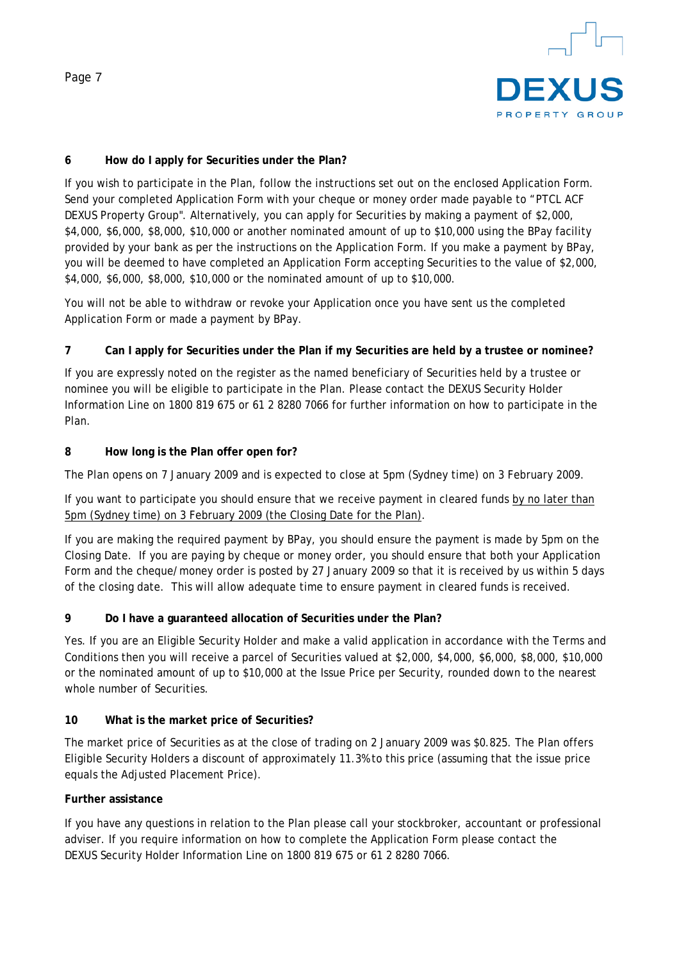

#### **6 How do I apply for Securities under the Plan?**

If you wish to participate in the Plan, follow the instructions set out on the enclosed Application Form. Send your completed Application Form with your cheque or money order made payable to "PTCL ACF DEXUS Property Group". Alternatively, you can apply for Securities by making a payment of \$2,000, \$4,000, \$6,000, \$8,000, \$10,000 or another nominated amount of up to \$10,000 using the BPay facility provided by your bank as per the instructions on the Application Form. If you make a payment by BPay, you will be deemed to have completed an Application Form accepting Securities to the value of \$2,000, \$4,000, \$6,000, \$8,000, \$10,000 or the nominated amount of up to \$10,000.

You will not be able to withdraw or revoke your Application once you have sent us the completed Application Form or made a payment by BPay.

#### **7 Can I apply for Securities under the Plan if my Securities are held by a trustee or nominee?**

If you are expressly noted on the register as the named beneficiary of Securities held by a trustee or nominee you will be eligible to participate in the Plan. Please contact the DEXUS Security Holder Information Line on 1800 819 675 or 61 2 8280 7066 for further information on how to participate in the Plan.

#### **8 How long is the Plan offer open for?**

The Plan opens on 7 January 2009 and is expected to close at 5pm (Sydney time) on 3 February 2009.

#### If you want to participate you should ensure that we receive payment in cleared funds by no later than 5pm (Sydney time) on 3 February 2009 (the Closing Date for the Plan).

If you are making the required payment by BPay, you should ensure the payment is made by 5pm on the Closing Date. If you are paying by cheque or money order, you should ensure that both your Application Form and the cheque/money order is posted by 27 January 2009 so that it is received by us within 5 days of the closing date. This will allow adequate time to ensure payment in cleared funds is received.

#### **9 Do I have a guaranteed allocation of Securities under the Plan?**

Yes. If you are an Eligible Security Holder and make a valid application in accordance with the Terms and Conditions then you will receive a parcel of Securities valued at \$2,000, \$4,000, \$6,000, \$8,000, \$10,000 or the nominated amount of up to \$10,000 at the Issue Price per Security, rounded down to the nearest whole number of Securities.

#### **10 What is the market price of Securities?**

The market price of Securities as at the close of trading on 2 January 2009 was \$0.825. The Plan offers Eligible Security Holders a discount of approximately 11.3% to this price (assuming that the issue price equals the Adjusted Placement Price).

#### **Further assistance**

If you have any questions in relation to the Plan please call your stockbroker, accountant or professional adviser. If you require information on how to complete the Application Form please contact the DEXUS Security Holder Information Line on 1800 819 675 or 61 2 8280 7066.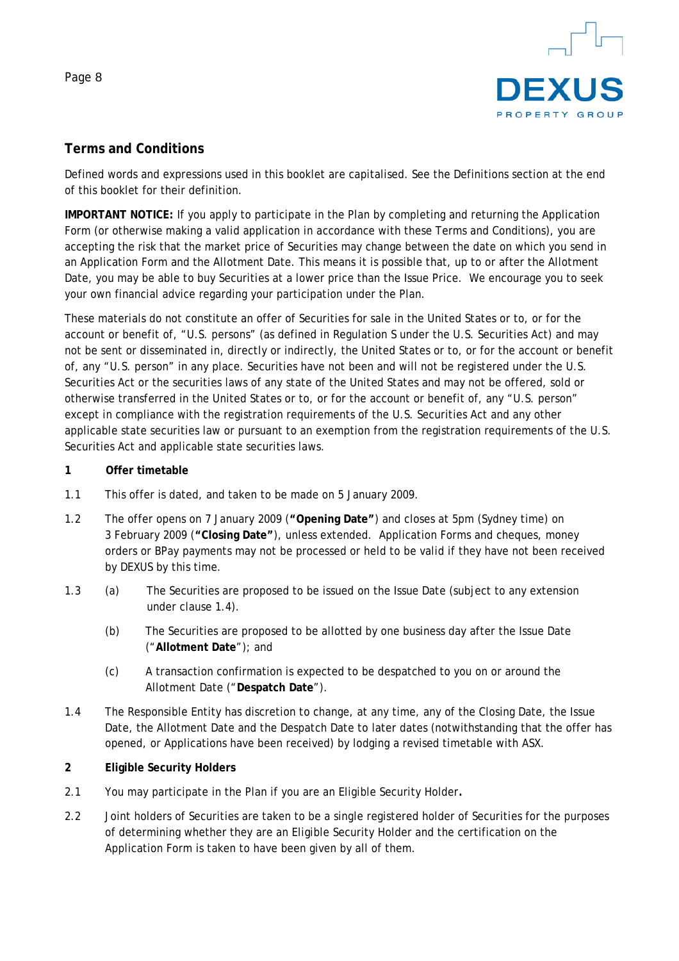

# **Terms and Conditions**

Defined words and expressions used in this booklet are capitalised. See the Definitions section at the end of this booklet for their definition.

**IMPORTANT NOTICE:** If you apply to participate in the Plan by completing and returning the Application Form (or otherwise making a valid application in accordance with these Terms and Conditions), you are accepting the risk that the market price of Securities may change between the date on which you send in an Application Form and the Allotment Date. This means it is possible that, up to or after the Allotment Date, you may be able to buy Securities at a lower price than the Issue Price. We encourage you to seek your own financial advice regarding your participation under the Plan.

These materials do not constitute an offer of Securities for sale in the United States or to, or for the account or benefit of, "U.S. persons" (as defined in Regulation S under the U.S. Securities Act) and may not be sent or disseminated in, directly or indirectly, the United States or to, or for the account or benefit of, any "U.S. person" in any place. Securities have not been and will not be registered under the U.S. Securities Act or the securities laws of any state of the United States and may not be offered, sold or otherwise transferred in the United States or to, or for the account or benefit of, any "U.S. person" except in compliance with the registration requirements of the U.S. Securities Act and any other applicable state securities law or pursuant to an exemption from the registration requirements of the U.S. Securities Act and applicable state securities laws.

#### **1 Offer timetable**

- 1.1 This offer is dated, and taken to be made on 5 January 2009.
- 1.2 The offer opens on 7 January 2009 (**"Opening Date"**) and closes at 5pm (Sydney time) on 3 February 2009 (**"Closing Date"**), unless extended. Application Forms and cheques, money orders or BPay payments may not be processed or held to be valid if they have not been received by DEXUS by this time.
- 1.3 (a) The Securities are proposed to be issued on the Issue Date (subject to any extension under clause 1.4).
	- (b) The Securities are proposed to be allotted by one business day after the Issue Date ("**Allotment Date**"); and
	- (c) A transaction confirmation is expected to be despatched to you on or around the Allotment Date ("**Despatch Date**").
- 1.4 The Responsible Entity has discretion to change, at any time, any of the Closing Date, the Issue Date, the Allotment Date and the Despatch Date to later dates (notwithstanding that the offer has opened, or Applications have been received) by lodging a revised timetable with ASX.

#### **2 Eligible Security Holders**

- 2.1 You may participate in the Plan if you are an Eligible Security Holder*.*
- 2.2 Joint holders of Securities are taken to be a single registered holder of Securities for the purposes of determining whether they are an Eligible Security Holder and the certification on the Application Form is taken to have been given by all of them.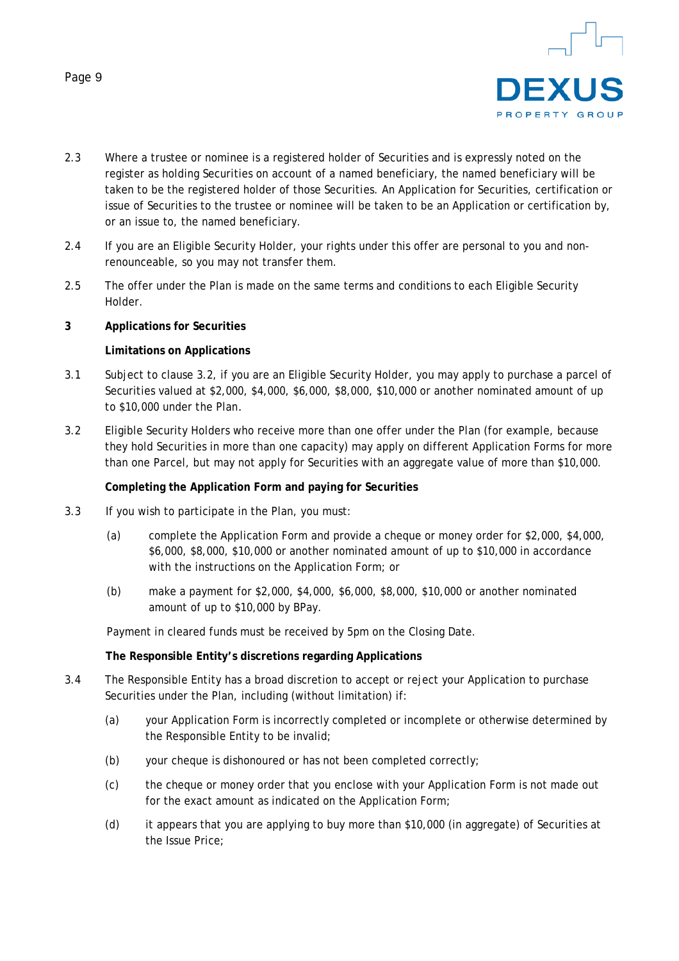



- 2.3 Where a trustee or nominee is a registered holder of Securities and is expressly noted on the register as holding Securities on account of a named beneficiary, the named beneficiary will be taken to be the registered holder of those Securities. An Application for Securities, certification or issue of Securities to the trustee or nominee will be taken to be an Application or certification by, or an issue to, the named beneficiary.
- 2.4 If you are an Eligible Security Holder, your rights under this offer are personal to you and nonrenounceable, so you may not transfer them.
- 2.5 The offer under the Plan is made on the same terms and conditions to each Eligible Security Holder.

#### **3 Applications for Securities**

#### **Limitations on Applications**

- 3.1 Subject to clause 3.2, if you are an Eligible Security Holder, you may apply to purchase a parcel of Securities valued at \$2,000, \$4,000, \$6,000, \$8,000, \$10,000 or another nominated amount of up to \$10,000 under the Plan*.*
- 3.2 Eligible Security Holders who receive more than one offer under the Plan (for example, because they hold Securities in more than one capacity) may apply on different Application Forms for more than one Parcel, but may not apply for Securities with an aggregate value of more than \$10,000.

#### **Completing the Application Form and paying for Securities**

- 3.3 If you wish to participate in the Plan, you must:
	- (a) complete the Application Form and provide a cheque or money order for \$2,000, \$4,000, \$6,000, \$8,000, \$10,000 or another nominated amount of up to \$10,000 in accordance with the instructions on the Application Form; or
	- (b) make a payment for \$2,000, \$4,000, \$6,000, \$8,000, \$10,000 or another nominated amount of up to \$10,000 by BPay.

Payment in cleared funds must be received by 5pm on the Closing Date.

#### **The Responsible Entity's discretions regarding Applications**

- 3.4 The Responsible Entity has a broad discretion to accept or reject your Application to purchase Securities under the Plan, including (without limitation) if:
	- (a) your Application Form is incorrectly completed or incomplete or otherwise determined by the Responsible Entity to be invalid;
	- (b) your cheque is dishonoured or has not been completed correctly;
	- (c) the cheque or money order that you enclose with your Application Form is not made out for the exact amount as indicated on the Application Form;
	- (d) it appears that you are applying to buy more than \$10,000 (in aggregate) of Securities at the Issue Price;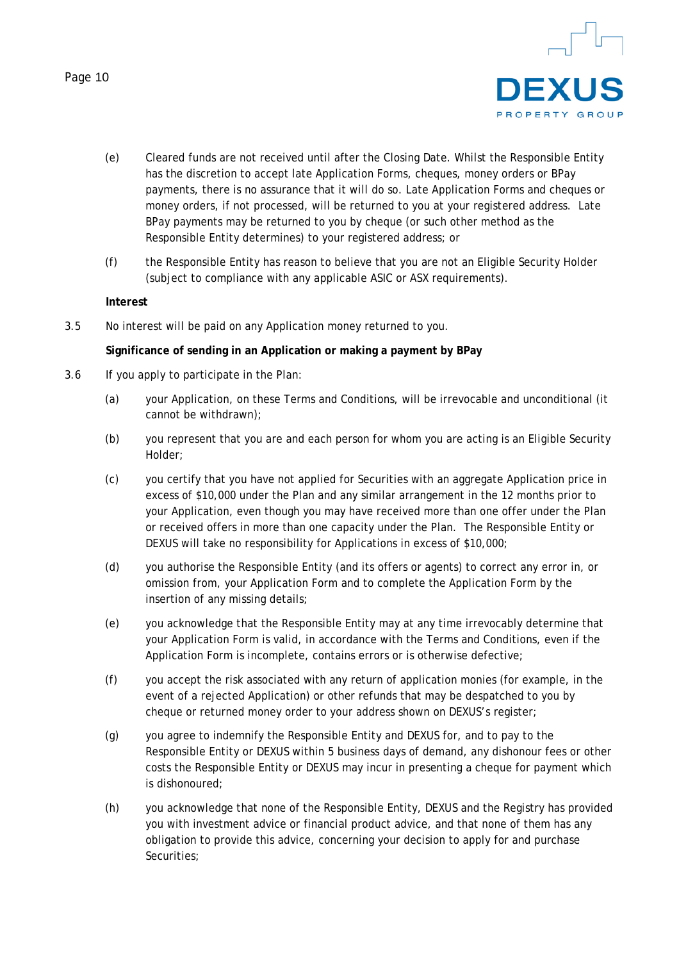

- (e) Cleared funds are not received until after the Closing Date. Whilst the Responsible Entity has the discretion to accept late Application Forms, cheques, money orders or BPay payments, there is no assurance that it will do so. Late Application Forms and cheques or money orders, if not processed, will be returned to you at your registered address. Late BPay payments may be returned to you by cheque (or such other method as the Responsible Entity determines) to your registered address; or
- (f) the Responsible Entity has reason to believe that you are not an Eligible Security Holder (subject to compliance with any applicable ASIC or ASX requirements).

#### **Interest**

3.5 No interest will be paid on any Application money returned to you.

#### **Significance of sending in an Application or making a payment by BPay**

- 3.6 If you apply to participate in the Plan:
	- (a) your Application, on these Terms and Conditions, will be irrevocable and unconditional (it cannot be withdrawn);
	- (b) you represent that you are and each person for whom you are acting is an Eligible Security Holder;
	- (c) you certify that you have not applied for Securities with an aggregate Application price in excess of \$10,000 under the Plan and any similar arrangement in the 12 months prior to your Application, even though you may have received more than one offer under the Plan or received offers in more than one capacity under the Plan. The Responsible Entity or DEXUS will take no responsibility for Applications in excess of \$10,000;
	- (d) you authorise the Responsible Entity (and its offers or agents) to correct any error in, or omission from, your Application Form and to complete the Application Form by the insertion of any missing details;
	- (e) you acknowledge that the Responsible Entity may at any time irrevocably determine that your Application Form is valid, in accordance with the Terms and Conditions, even if the Application Form is incomplete, contains errors or is otherwise defective;
	- (f) you accept the risk associated with any return of application monies (for example, in the event of a rejected Application) or other refunds that may be despatched to you by cheque or returned money order to your address shown on DEXUS's register;
	- (g) you agree to indemnify the Responsible Entity and DEXUS for, and to pay to the Responsible Entity or DEXUS within 5 business days of demand, any dishonour fees or other costs the Responsible Entity or DEXUS may incur in presenting a cheque for payment which is dishonoured;
	- (h) you acknowledge that none of the Responsible Entity, DEXUS and the Registry has provided you with investment advice or financial product advice, and that none of them has any obligation to provide this advice, concerning your decision to apply for and purchase Securities;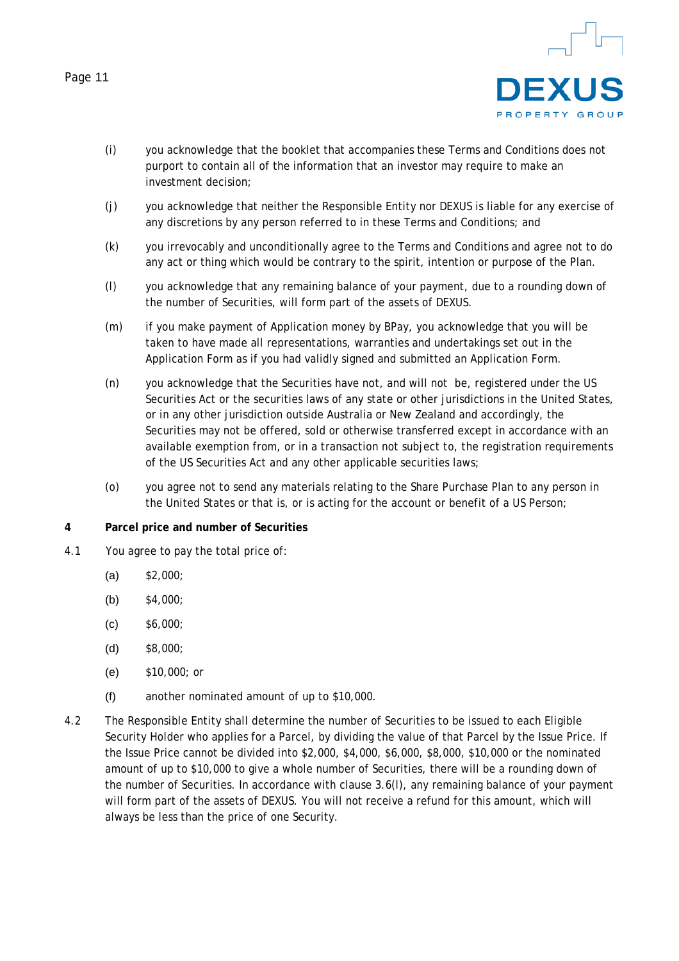

- (i) you acknowledge that the booklet that accompanies these Terms and Conditions does not purport to contain all of the information that an investor may require to make an investment decision;
- (j) you acknowledge that neither the Responsible Entity nor DEXUS is liable for any exercise of any discretions by any person referred to in these Terms and Conditions; and
- (k) you irrevocably and unconditionally agree to the Terms and Conditions and agree not to do any act or thing which would be contrary to the spirit, intention or purpose of the Plan.
- (l) you acknowledge that any remaining balance of your payment, due to a rounding down of the number of Securities, will form part of the assets of DEXUS.
- (m) if you make payment of Application money by BPay, you acknowledge that you will be taken to have made all representations, warranties and undertakings set out in the Application Form as if you had validly signed and submitted an Application Form.
- (n) you acknowledge that the Securities have not, and will not be, registered under the US Securities Act or the securities laws of any state or other jurisdictions in the United States, or in any other jurisdiction outside Australia or New Zealand and accordingly, the Securities may not be offered, sold or otherwise transferred except in accordance with an available exemption from, or in a transaction not subject to, the registration requirements of the US Securities Act and any other applicable securities laws;
- (o) you agree not to send any materials relating to the Share Purchase Plan to any person in the United States or that is, or is acting for the account or benefit of a US Person;

#### **4 Parcel price and number of Securities**

- 4.1 You agree to pay the total price of:
	- $(a)$  \$2,000;
	- (b)  $$4,000;$
	- $(C)$  \$6,000;
	- (d) \$8,000;
	- (e) \$10,000; or
	- (f) another nominated amount of up to \$10,000.
- 4.2 The Responsible Entity shall determine the number of Securities to be issued to each Eligible Security Holder who applies for a Parcel, by dividing the value of that Parcel by the Issue Price. If the Issue Price cannot be divided into \$2,000, \$4,000, \$6,000, \$8,000, \$10,000 or the nominated amount of up to \$10,000 to give a whole number of Securities, there will be a rounding down of the number of Securities. In accordance with clause 3.6(l), any remaining balance of your payment will form part of the assets of DEXUS. You will not receive a refund for this amount, which will always be less than the price of one Security.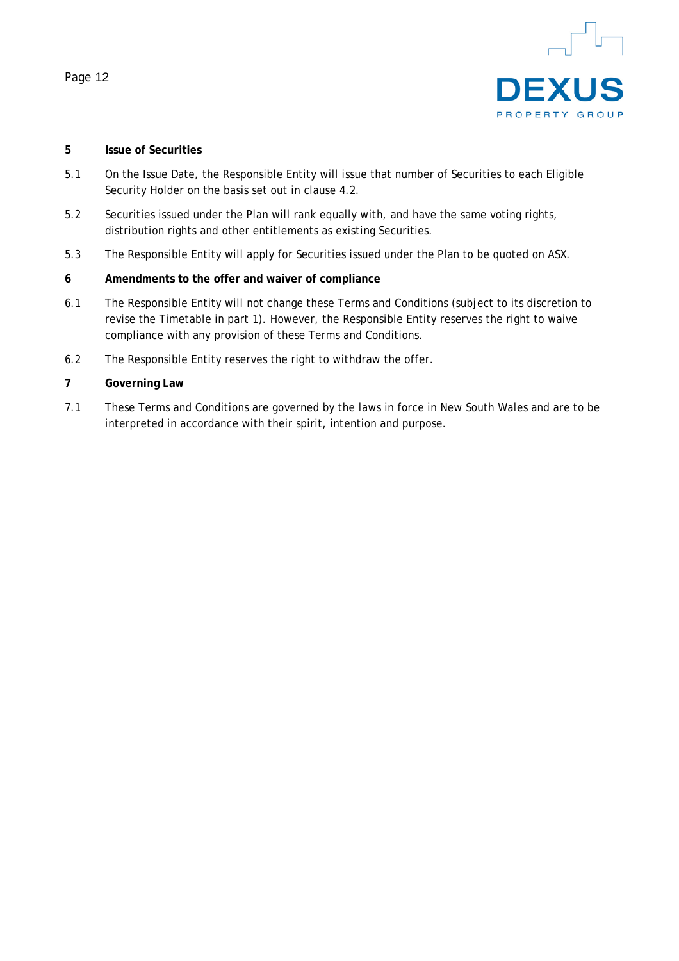

#### **5 Issue of Securities**

- 5.1 On the Issue Date, the Responsible Entity will issue that number of Securities to each Eligible Security Holder on the basis set out in clause 4.2.
- 5.2 Securities issued under the Plan will rank equally with, and have the same voting rights, distribution rights and other entitlements as existing Securities.
- 5.3 The Responsible Entity will apply for Securities issued under the Plan to be quoted on ASX.

#### **6 Amendments to the offer and waiver of compliance**

- 6.1 The Responsible Entity will not change these Terms and Conditions (subject to its discretion to revise the Timetable in part 1). However, the Responsible Entity reserves the right to waive compliance with any provision of these Terms and Conditions.
- 6.2 The Responsible Entity reserves the right to withdraw the offer.

# **7 Governing Law**

7.1 These Terms and Conditions are governed by the laws in force in New South Wales and are to be interpreted in accordance with their spirit, intention and purpose.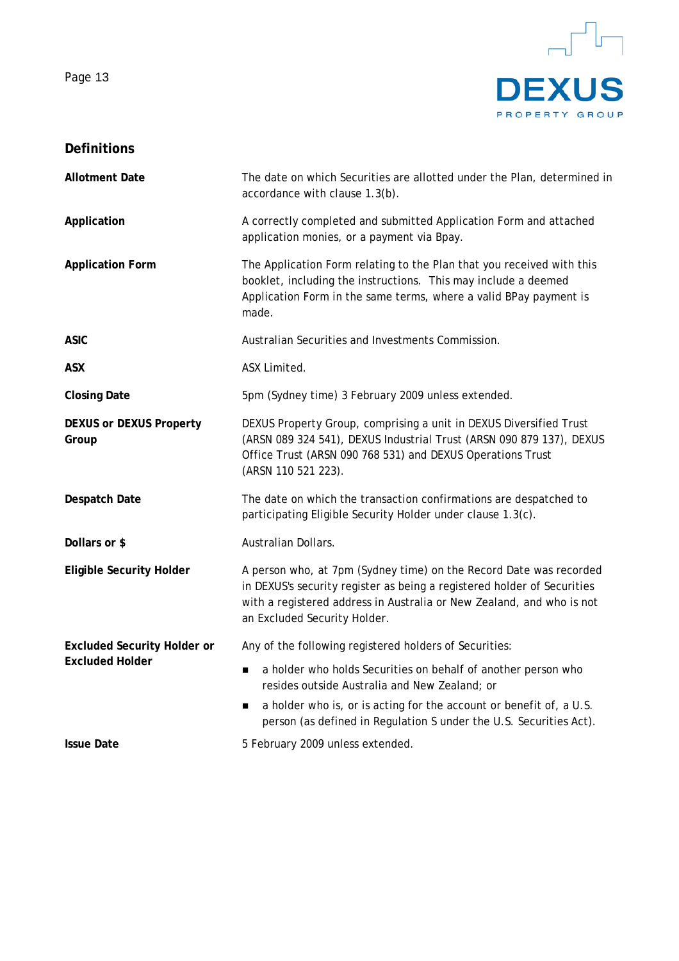

# **Definitions**

| <b>Allotment Date</b>                   | The date on which Securities are allotted under the Plan, determined in<br>accordance with clause 1.3(b).                                                                                                                                              |  |  |  |  |
|-----------------------------------------|--------------------------------------------------------------------------------------------------------------------------------------------------------------------------------------------------------------------------------------------------------|--|--|--|--|
| Application                             | A correctly completed and submitted Application Form and attached<br>application monies, or a payment via Bpay.                                                                                                                                        |  |  |  |  |
| <b>Application Form</b>                 | The Application Form relating to the Plan that you received with this<br>booklet, including the instructions. This may include a deemed<br>Application Form in the same terms, where a valid BPay payment is<br>made.                                  |  |  |  |  |
| <b>ASIC</b>                             | Australian Securities and Investments Commission.                                                                                                                                                                                                      |  |  |  |  |
| <b>ASX</b>                              | ASX Limited.                                                                                                                                                                                                                                           |  |  |  |  |
| <b>Closing Date</b>                     | 5pm (Sydney time) 3 February 2009 unless extended.                                                                                                                                                                                                     |  |  |  |  |
| <b>DEXUS or DEXUS Property</b><br>Group | DEXUS Property Group, comprising a unit in DEXUS Diversified Trust<br>(ARSN 089 324 541), DEXUS Industrial Trust (ARSN 090 879 137), DEXUS<br>Office Trust (ARSN 090 768 531) and DEXUS Operations Trust<br>(ARSN 110 521 223).                        |  |  |  |  |
| Despatch Date                           | The date on which the transaction confirmations are despatched to<br>participating Eligible Security Holder under clause 1.3(c).                                                                                                                       |  |  |  |  |
| Dollars or \$                           | Australian Dollars.                                                                                                                                                                                                                                    |  |  |  |  |
| <b>Eligible Security Holder</b>         | A person who, at 7pm (Sydney time) on the Record Date was recorded<br>in DEXUS's security register as being a registered holder of Securities<br>with a registered address in Australia or New Zealand, and who is not<br>an Excluded Security Holder. |  |  |  |  |
| <b>Excluded Security Holder or</b>      | Any of the following registered holders of Securities:                                                                                                                                                                                                 |  |  |  |  |
| <b>Excluded Holder</b>                  | a holder who holds Securities on behalf of another person who<br>■<br>resides outside Australia and New Zealand; or                                                                                                                                    |  |  |  |  |
|                                         | a holder who is, or is acting for the account or benefit of, a U.S.<br>п<br>person (as defined in Regulation S under the U.S. Securities Act).                                                                                                         |  |  |  |  |
| <b>Issue Date</b>                       | 5 February 2009 unless extended.                                                                                                                                                                                                                       |  |  |  |  |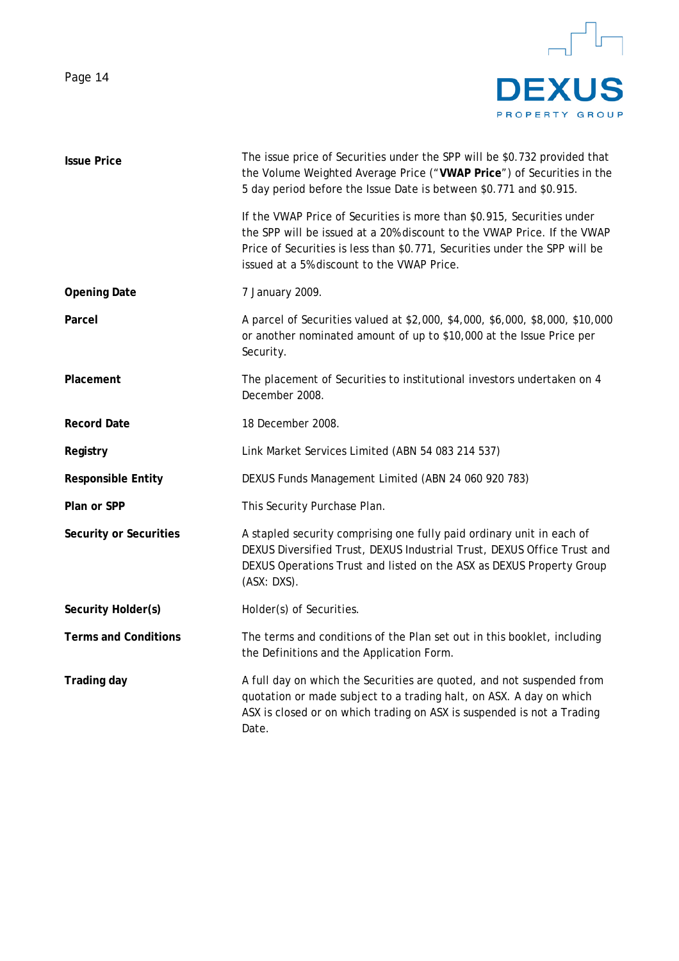

| <b>Issue Price</b>          | The issue price of Securities under the SPP will be \$0.732 provided that<br>the Volume Weighted Average Price ("VWAP Price") of Securities in the<br>5 day period before the Issue Date is between \$0.771 and \$0.915.                                                      |  |  |
|-----------------------------|-------------------------------------------------------------------------------------------------------------------------------------------------------------------------------------------------------------------------------------------------------------------------------|--|--|
|                             | If the VWAP Price of Securities is more than \$0.915, Securities under<br>the SPP will be issued at a 20% discount to the VWAP Price. If the VWAP<br>Price of Securities is less than \$0.771, Securities under the SPP will be<br>issued at a 5% discount to the VWAP Price. |  |  |
| <b>Opening Date</b>         | 7 January 2009.                                                                                                                                                                                                                                                               |  |  |
| Parcel                      | A parcel of Securities valued at \$2,000, \$4,000, \$6,000, \$8,000, \$10,000<br>or another nominated amount of up to \$10,000 at the Issue Price per<br>Security.                                                                                                            |  |  |
| Placement                   | The placement of Securities to institutional investors undertaken on 4<br>December 2008.                                                                                                                                                                                      |  |  |
| <b>Record Date</b>          | 18 December 2008.                                                                                                                                                                                                                                                             |  |  |
| Registry                    | Link Market Services Limited (ABN 54 083 214 537)                                                                                                                                                                                                                             |  |  |
| <b>Responsible Entity</b>   | DEXUS Funds Management Limited (ABN 24 060 920 783)                                                                                                                                                                                                                           |  |  |
| Plan or SPP                 | This Security Purchase Plan.                                                                                                                                                                                                                                                  |  |  |
| Security or Securities      | A stapled security comprising one fully paid ordinary unit in each of<br>DEXUS Diversified Trust, DEXUS Industrial Trust, DEXUS Office Trust and<br>DEXUS Operations Trust and listed on the ASX as DEXUS Property Group<br>(ASX: DXS).                                       |  |  |
| Security Holder(s)          | Holder(s) of Securities.                                                                                                                                                                                                                                                      |  |  |
| <b>Terms and Conditions</b> | The terms and conditions of the Plan set out in this booklet, including<br>the Definitions and the Application Form.                                                                                                                                                          |  |  |
| <b>Trading day</b>          | A full day on which the Securities are quoted, and not suspended from<br>quotation or made subject to a trading halt, on ASX. A day on which<br>ASX is closed or on which trading on ASX is suspended is not a Trading<br>Date.                                               |  |  |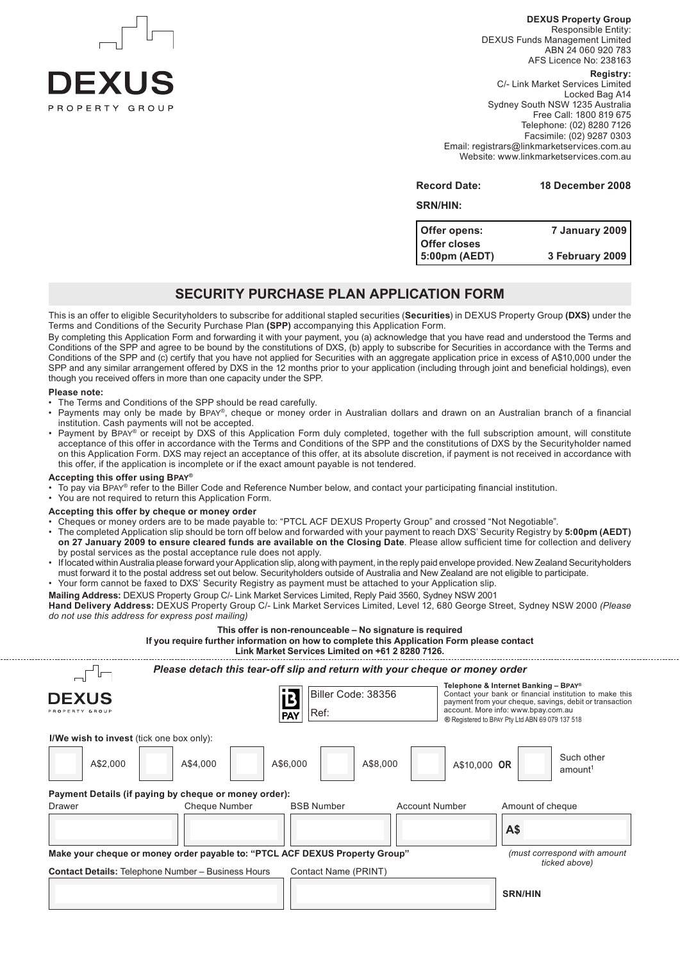

**DEXUS Property Group** Responsible Entity: DEXUS Funds Management Limited ABN 24 060 920 783 AFS Licence No: 238163 **Registry:** C/- Link Market Services Limited Locked Bag A14 Sydney South NSW 1235 Australia Free Call: 1800 819 675 Telephone: (02) 8280 7126

Facsimile: (02) 9287 0303 Email: registrars@linkmarketservices.com.au Website: www.linkmarketservices.com.au

**Record Date: 18 December 2008**

#### **SRN/HIN:**

| Offer opens:  | <b>7 January 2009</b> |
|---------------|-----------------------|
| Offer closes  |                       |
| 5:00pm (AEDT) | 3 February 2009       |

#### **Security PURCHASE PLAN APPLICATION FORM**

This is an offer to eligible Securityholders to subscribe for additional stapled securities (**Securities**) in DEXUS Property Group **(DXS)** under the Terms and Conditions of the Security Purchase Plan **(SPP)** accompanying this Application Form.

By completing this Application Form and forwarding it with your payment, you (a) acknowledge that you have read and understood the Terms and Conditions of the SPP and agree to be bound by the constitutions of DXS, (b) apply to subscribe for Securities in accordance with the Terms and Conditions of the SPP and (c) certify that you have not applied for Securities with an aggregate application price in excess of A\$10,000 under the SPP and any similar arrangement offered by DXS in the 12 months prior to your application (including through joint and beneficial holdings), even though you received offers in more than one capacity under the SPP.

#### **Please note:**

- The Terms and Conditions of the SPP should be read carefully.
- Payments may only be made by Bpay®, cheque or money order in Australian dollars and drawn on an Australian branch of a financial institution. Cash payments will not be accepted.
- Payment by BPAY<sup>®</sup> or receipt by DXS of this Application Form duly completed, together with the full subscription amount, will constitute acceptance of this offer in accordance with the Terms and Conditions of the SPP and the constitutions of DXS by the Securityholder named on this Application Form. DXS may reject an acceptance of this offer, at its absolute discretion, if payment is not received in accordance with this offer, if the application is incomplete or if the exact amount payable is not tendered.

#### **Accepting this offer using Bpay®**

To pay via BPAY® refer to the Biller Code and Reference Number below, and contact your participating financial institution.

You are not required to return this Application Form.

#### **Accepting this offer by cheque or money order**

- Cheques or money orders are to be made payable to: "PTCL ACF DEXUS Property Group" and crossed "Not Negotiable".
- The completed Application slip should be torn off below and forwarded with your payment to reach DXS' Security Registry by **5:00pm (AEDT) on 27 January 2009 to ensure cleared funds are available on the Closing Date**. Please allow sufficient time for collection and delivery by postal services as the postal acceptance rule does not apply.
- If located within Australia please forward your Application slip, along with payment, in the reply paid envelope provided. New Zealand Securityholders must forward it to the postal address set out below. Securityholders outside of Australia and New Zealand are not eligible to participate. • Your form cannot be faxed to DXS' Security Registry as payment must be attached to your Application slip.
- **Mailing Address:** DEXUS Property Group C/- Link Market Services Limited, Reply Paid 3560, Sydney NSW 2001

**Hand Delivery Address:** DEXUS Property Group C/- Link Market Services Limited, Level 12, 680 George Street, Sydney NSW 2000 *(Please do not use this address for express post mailing)*

|                                                                                                                                          | If you require further information on how to complete this Application Form please contact | This offer is non-renounceable - No signature is required<br>Link Market Services Limited on +61 2 8280 7126. |                       |              |                                                                                                                                                                                                                                                      |
|------------------------------------------------------------------------------------------------------------------------------------------|--------------------------------------------------------------------------------------------|---------------------------------------------------------------------------------------------------------------|-----------------------|--------------|------------------------------------------------------------------------------------------------------------------------------------------------------------------------------------------------------------------------------------------------------|
|                                                                                                                                          | Please detach this tear-off slip and return with your cheque or money order                |                                                                                                               |                       |              |                                                                                                                                                                                                                                                      |
| <b>DEXUS</b>                                                                                                                             |                                                                                            | Biller Code: 38356<br>Ref:<br><b>PAY</b>                                                                      |                       |              | Telephone & Internet Banking - BPAY®<br>Contact your bank or financial institution to make this<br>payment from your cheque, savings, debit or transaction<br>account. More info: www.bpay.com.au<br>® Registered to BPAY Pty Ltd ABN 69 079 137 518 |
| I/We wish to invest (tick one box only):                                                                                                 |                                                                                            |                                                                                                               |                       |              |                                                                                                                                                                                                                                                      |
| A\$2,000                                                                                                                                 | A\$4,000                                                                                   | A\$6,000                                                                                                      | A\$8,000              | A\$10,000 OR | Such other<br>amount <sup>1</sup>                                                                                                                                                                                                                    |
| Payment Details (if paying by cheque or money order):                                                                                    |                                                                                            |                                                                                                               |                       |              |                                                                                                                                                                                                                                                      |
| Drawer                                                                                                                                   | Cheque Number                                                                              | <b>BSB Number</b>                                                                                             | <b>Account Number</b> |              | Amount of cheque                                                                                                                                                                                                                                     |
|                                                                                                                                          |                                                                                            |                                                                                                               |                       |              | A\$                                                                                                                                                                                                                                                  |
| Make your cheque or money order payable to: "PTCL ACF DEXUS Property Group"<br><b>Contact Details: Telephone Number - Business Hours</b> |                                                                                            | Contact Name (PRINT)                                                                                          |                       |              | (must correspond with amount<br>ticked above)                                                                                                                                                                                                        |
|                                                                                                                                          |                                                                                            |                                                                                                               |                       |              | <b>SRN/HIN</b>                                                                                                                                                                                                                                       |